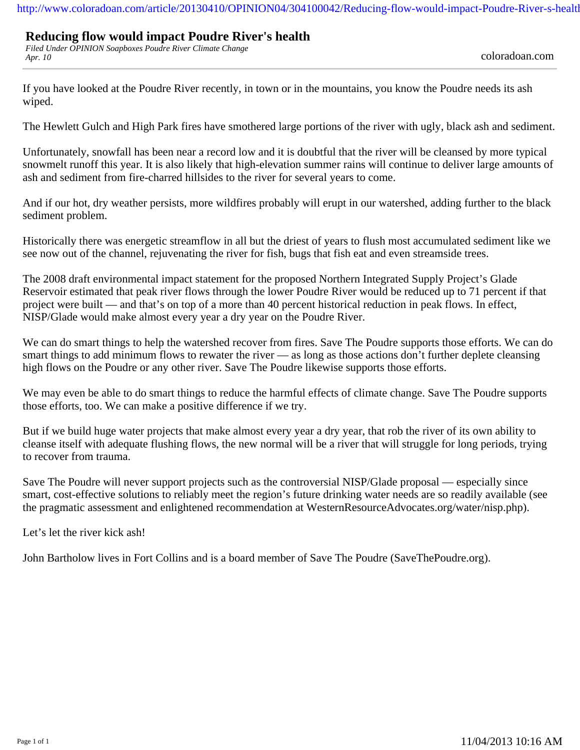## **Reducing flow would impact Poudre River's health**

*Filed Under OPINION Soapboxes Poudre River Climate Change Apr. 10* coloradoan.com

If you have looked at the Poudre River recently, in town or in the mountains, you know the Poudre needs its ash wiped.

The Hewlett Gulch and High Park fires have smothered large portions of the river with ugly, black ash and sediment.

Unfortunately, snowfall has been near a record low and it is doubtful that the river will be cleansed by more typical snowmelt runoff this year. It is also likely that high-elevation summer rains will continue to deliver large amounts of ash and sediment from fire-charred hillsides to the river for several years to come.

And if our hot, dry weather persists, more wildfires probably will erupt in our watershed, adding further to the black sediment problem.

Historically there was energetic streamflow in all but the driest of years to flush most accumulated sediment like we see now out of the channel, rejuvenating the river for fish, bugs that fish eat and even streamside trees.

The 2008 draft environmental impact statement for the proposed Northern Integrated Supply Project's Glade Reservoir estimated that peak river flows through the lower Poudre River would be reduced up to 71 percent if that project were built — and that's on top of a more than 40 percent historical reduction in peak flows. In effect, NISP/Glade would make almost every year a dry year on the Poudre River.

We can do smart things to help the watershed recover from fires. Save The Poudre supports those efforts. We can do smart things to add minimum flows to rewater the river — as long as those actions don't further deplete cleansing high flows on the Poudre or any other river. Save The Poudre likewise supports those efforts.

We may even be able to do smart things to reduce the harmful effects of climate change. Save The Poudre supports those efforts, too. We can make a positive difference if we try.

But if we build huge water projects that make almost every year a dry year, that rob the river of its own ability to cleanse itself with adequate flushing flows, the new normal will be a river that will struggle for long periods, trying to recover from trauma.

Save The Poudre will never support projects such as the controversial NISP/Glade proposal — especially since smart, cost-effective solutions to reliably meet the region's future drinking water needs are so readily available (see the pragmatic assessment and enlightened recommendation at WesternResourceAdvocates.org/water/nisp.php).

Let's let the river kick ash!

John Bartholow lives in Fort Collins and is a board member of Save The Poudre (SaveThePoudre.org).